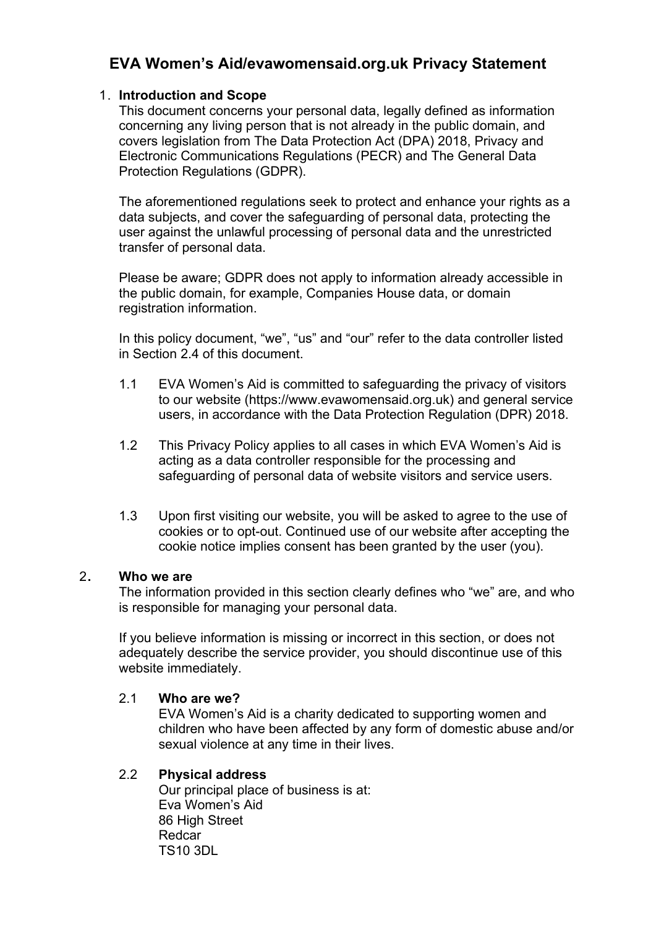# **EVA Women's Aid/evawomensaid.org.uk Privacy Statement**

### 1. **Introduction and Scope**

This document concerns your personal data, legally defined as information concerning any living person that is not already in the public domain, and covers legislation from The Data Protection Act (DPA) 2018, Privacy and Electronic Communications Regulations (PECR) and The General Data Protection Regulations (GDPR).

The aforementioned regulations seek to protect and enhance your rights as a data subjects, and cover the safeguarding of personal data, protecting the user against the unlawful processing of personal data and the unrestricted transfer of personal data.

Please be aware; GDPR does not apply to information already accessible in the public domain, for example, Companies House data, or domain registration information.

In this policy document, "we", "us" and "our" refer to the data controller listed in Section 2.4 of this document.

- 1.1 EVA Women's Aid is committed to safeguarding the privacy of visitors to our website (https://www.evawomensaid.org.uk) and general service users, in accordance with the Data Protection Regulation (DPR) 2018.
- 1.2 This Privacy Policy applies to all cases in which EVA Women's Aid is acting as a data controller responsible for the processing and safeguarding of personal data of website visitors and service users.
- 1.3 Upon first visiting our website, you will be asked to agree to the use of cookies or to opt-out. Continued use of our website after accepting the cookie notice implies consent has been granted by the user (you).

### 2**. Who we are**

The information provided in this section clearly defines who "we" are, and who is responsible for managing your personal data.

If you believe information is missing or incorrect in this section, or does not adequately describe the service provider, you should discontinue use of this website immediately.

### 2.1 **Who are we?**

EVA Women's Aid is a charity dedicated to supporting women and children who have been affected by any form of domestic abuse and/or sexual violence at any time in their lives.

### 2.2 **Physical address**

Our principal place of business is at: Eva Women's Aid 86 High Street Redcar TS10 3DL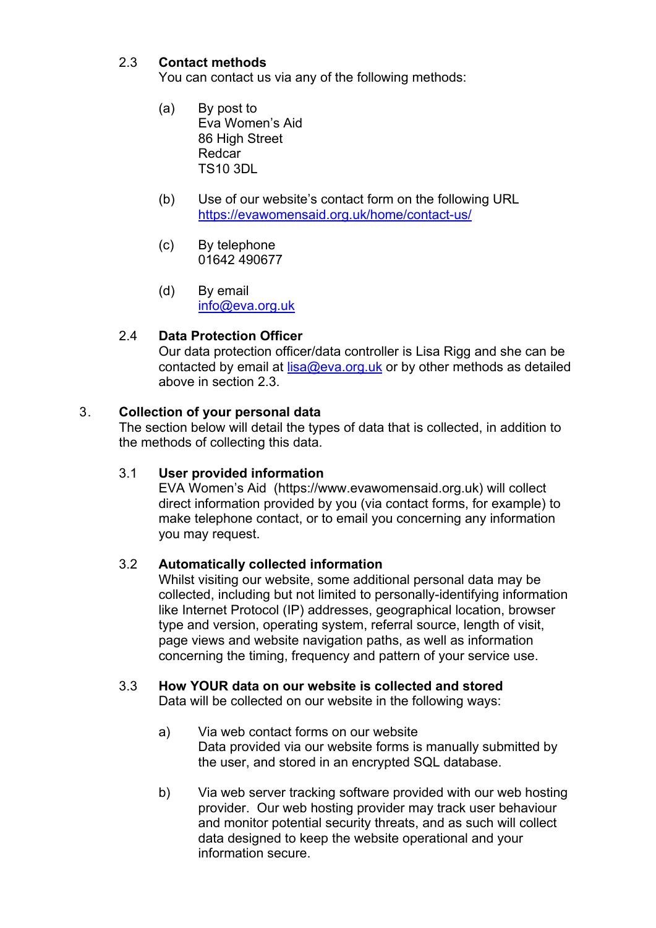# 2.3 **Contact methods**

You can contact us via any of the following methods:

- (a) By post to Eva Women's Aid 86 High Street Redcar TS10 3DL
- (b) Use of our website's contact form on the following URL <https://evawomensaid.org.uk/home/contact-us/>
- (c) By telephone 01642 490677
- (d) By email [info@eva.org.uk](mailto:info@eva.org.uk)

# 2.4 **Data Protection Officer**

Our data protection officer/data controller is Lisa Rigg and she can be contacted by email at  $lisa@eva.org.uk$  or by other methods as detailed above in section 2.3.

## 3. **Collection of your personal data**

The section below will detail the types of data that is collected, in addition to the methods of collecting this data.

### 3.1 **User provided information**

EVA Women's Aid (https://www.evawomensaid.org.uk) will collect direct information provided by you (via contact forms, for example) to make telephone contact, or to email you concerning any information you may request.

### 3.2 **Automatically collected information**

Whilst visiting our website, some additional personal data may be collected, including but not limited to personally-identifying information like Internet Protocol (IP) addresses, geographical location, browser type and version, operating system, referral source, length of visit, page views and website navigation paths, as well as information concerning the timing, frequency and pattern of your service use.

# 3.3 **How YOUR data on our website is collected and stored**

Data will be collected on our website in the following ways:

- a) Via web contact forms on our website Data provided via our website forms is manually submitted by the user, and stored in an encrypted SQL database.
- b) Via web server tracking software provided with our web hosting provider. Our web hosting provider may track user behaviour and monitor potential security threats, and as such will collect data designed to keep the website operational and your information secure.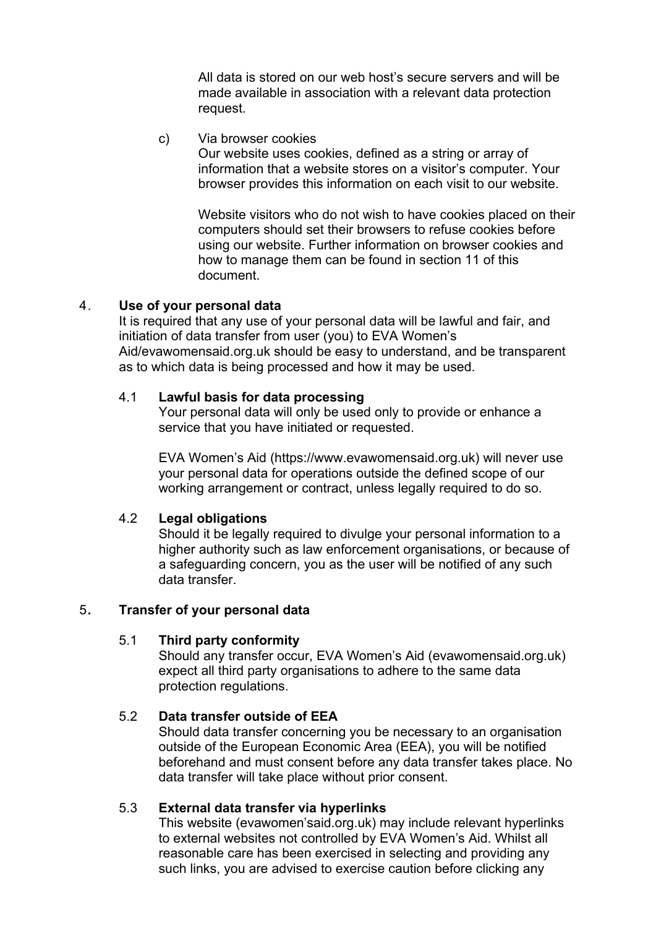All data is stored on our web host's secure servers and will be made available in association with a relevant data protection request.

### c) Via browser cookies

Our website uses cookies, defined as a string or array of information that a website stores on a visitor's computer. Your browser provides this information on each visit to our website.

Website visitors who do not wish to have cookies placed on their computers should set their browsers to refuse cookies before using our website. Further information on browser cookies and how to manage them can be found in section 11 of this document.

#### 4. **Use of your personal data**

It is required that any use of your personal data will be lawful and fair, and initiation of data transfer from user (you) to EVA Women's Aid/evawomensaid.org.uk should be easy to understand, and be transparent as to which data is being processed and how it may be used.

### 4.1 **Lawful basis for data processing**

Your personal data will only be used only to provide or enhance a service that you have initiated or requested.

EVA Women's Aid (https://www.evawomensaid.org.uk) will never use your personal data for operations outside the defined scope of our working arrangement or contract, unless legally required to do so.

### 4.2 **Legal obligations**

Should it be legally required to divulge your personal information to a higher authority such as law enforcement organisations, or because of a safeguarding concern, you as the user will be notified of any such data transfer.

### 5**. Transfer of your personal data**

#### 5.1 **Third party conformity**

Should any transfer occur, EVA Women's Aid (evawomensaid.org.uk) expect all third party organisations to adhere to the same data protection regulations.

### 5.2 **Data transfer outside of EEA**

Should data transfer concerning you be necessary to an organisation outside of the European Economic Area (EEA), you will be notified beforehand and must consent before any data transfer takes place. No data transfer will take place without prior consent.

### 5.3 **External data transfer via hyperlinks**

This website (evawomen'said.org.uk) may include relevant hyperlinks to external websites not controlled by EVA Women's Aid. Whilst all reasonable care has been exercised in selecting and providing any such links, you are advised to exercise caution before clicking any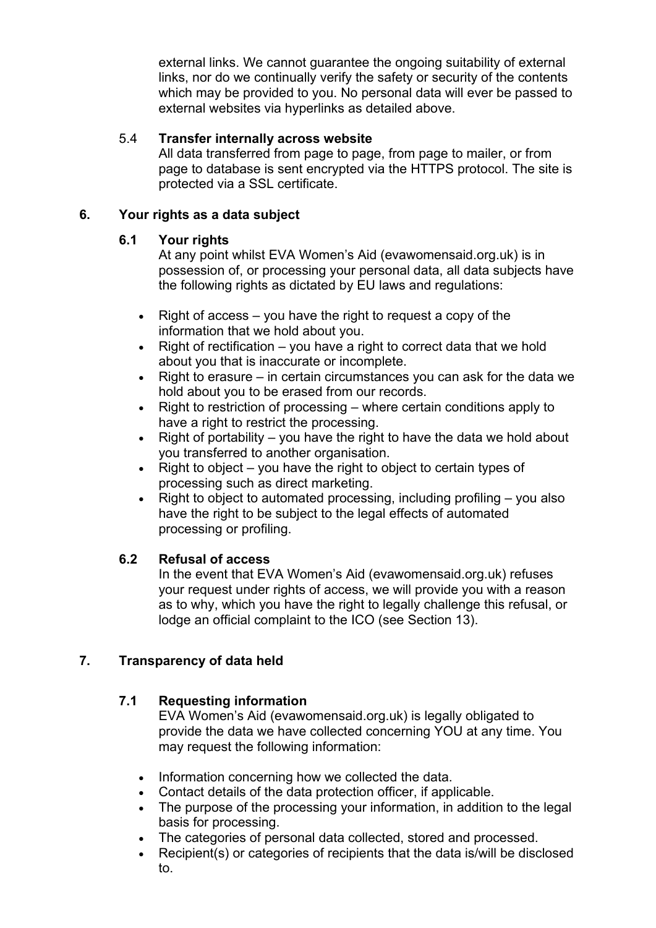external links. We cannot guarantee the ongoing suitability of external links, nor do we continually verify the safety or security of the contents which may be provided to you. No personal data will ever be passed to external websites via hyperlinks as detailed above.

## 5.4 **Transfer internally across website**

All data transferred from page to page, from page to mailer, or from page to database is sent encrypted via the HTTPS protocol. The site is protected via a SSL certificate.

## **6. Your rights as a data subject**

## **6.1 Your rights**

At any point whilst EVA Women's Aid (evawomensaid.org.uk) is in possession of, or processing your personal data, all data subjects have the following rights as dictated by EU laws and regulations:

- Right of access you have the right to request a copy of the information that we hold about you.
- Right of rectification you have a right to correct data that we hold about you that is inaccurate or incomplete.
- Right to erasure in certain circumstances you can ask for the data we hold about you to be erased from our records.
- Right to restriction of processing where certain conditions apply to have a right to restrict the processing.
- Right of portability  $-$  you have the right to have the data we hold about you transferred to another organisation.
- Right to object you have the right to object to certain types of processing such as direct marketing.
- Right to object to automated processing, including profiling  $-$  you also have the right to be subject to the legal effects of automated processing or profiling.

# **6.2 Refusal of access**

In the event that EVA Women's Aid (evawomensaid.org.uk) refuses your request under rights of access, we will provide you with a reason as to why, which you have the right to legally challenge this refusal, or lodge an official complaint to the ICO (see Section 13).

# **7. Transparency of data held**

# **7.1 Requesting information**

EVA Women's Aid (evawomensaid.org.uk) is legally obligated to provide the data we have collected concerning YOU at any time. You may request the following information:

- Information concerning how we collected the data.
- Contact details of the data protection officer, if applicable.
- The purpose of the processing your information, in addition to the legal basis for processing.
- The categories of personal data collected, stored and processed.
- Recipient(s) or categories of recipients that the data is/will be disclosed to.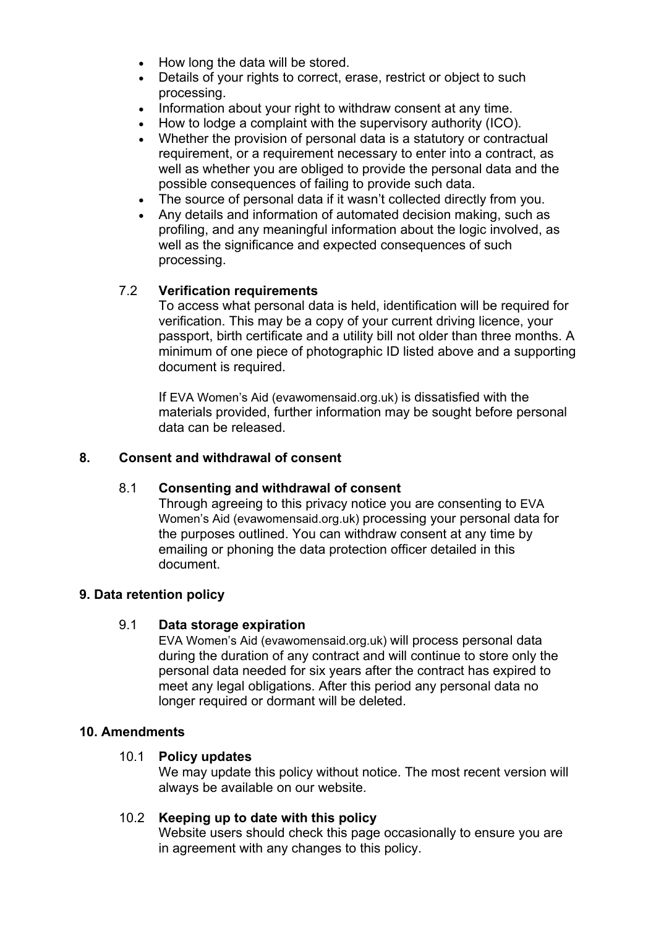- How long the data will be stored.
- Details of your rights to correct, erase, restrict or obiect to such processing.
- Information about your right to withdraw consent at any time.
- How to lodge a complaint with the supervisory authority (ICO).
- Whether the provision of personal data is a statutory or contractual requirement, or a requirement necessary to enter into a contract, as well as whether you are obliged to provide the personal data and the possible consequences of failing to provide such data.
- The source of personal data if it wasn't collected directly from you.
- Any details and information of automated decision making, such as profiling, and any meaningful information about the logic involved, as well as the significance and expected consequences of such processing.

## 7.2 **Verification requirements**

To access what personal data is held, identification will be required for verification. This may be a copy of your current driving licence, your passport, birth certificate and a utility bill not older than three months. A minimum of one piece of photographic ID listed above and a supporting document is required.

If EVA Women's Aid (evawomensaid.org.uk) is dissatisfied with the materials provided, further information may be sought before personal data can be released.

### **8. Consent and withdrawal of consent**

### 8.1 **Consenting and withdrawal of consent**

Through agreeing to this privacy notice you are consenting to EVA Women's Aid (evawomensaid.org.uk) processing your personal data for the purposes outlined. You can withdraw consent at any time by emailing or phoning the data protection officer detailed in this document.

### **9. Data retention policy**

### 9.1 **Data storage expiration**

EVA Women's Aid (evawomensaid.org.uk) will process personal data during the duration of any contract and will continue to store only the personal data needed for six years after the contract has expired to meet any legal obligations. After this period any personal data no longer required or dormant will be deleted.

### **10. Amendments**

### 10.1 **Policy updates**

We may update this policy without notice. The most recent version will always be available on our website.

### 10.2 **Keeping up to date with this policy**

Website users should check this page occasionally to ensure you are in agreement with any changes to this policy.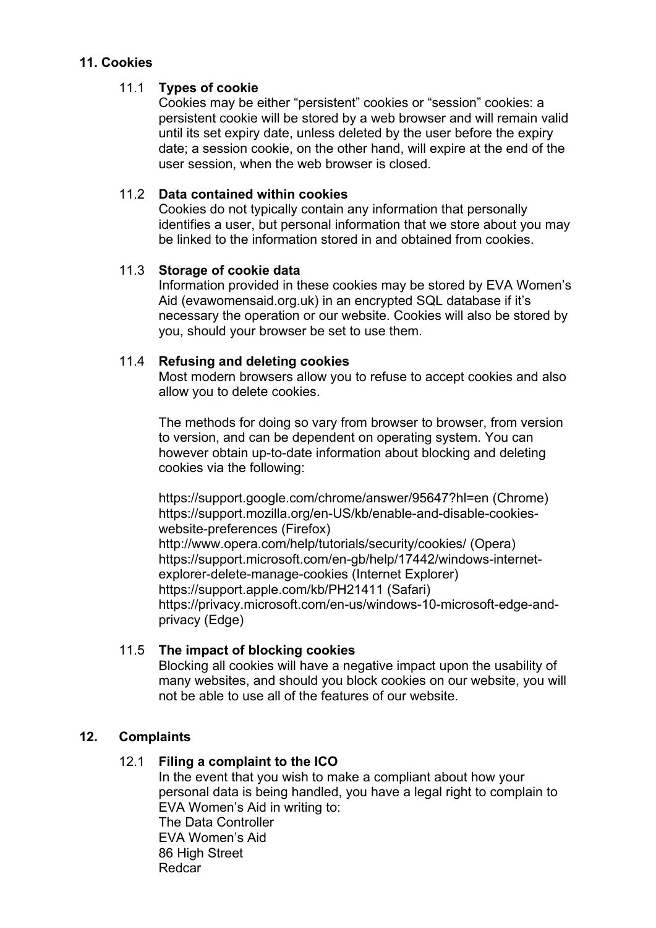## **11. Cookies**

## 11.1 **Types of cookie**

Cookies may be either "persistent" cookies or "session" cookies: a persistent cookie will be stored by a web browser and will remain valid until its set expiry date, unless deleted by the user before the expiry date; a session cookie, on the other hand, will expire at the end of the user session, when the web browser is closed.

## 11.2 **Data contained within cookies**

Cookies do not typically contain any information that personally identifies a user, but personal information that we store about you may be linked to the information stored in and obtained from cookies.

## 11.3 **Storage of cookie data**

Information provided in these cookies may be stored by EVA Women's Aid (evawomensaid.org.uk) in an encrypted SQL database if it's necessary the operation or our website. Cookies will also be stored by you, should your browser be set to use them.

## 11.4 **Refusing and deleting cookies**

Most modern browsers allow you to refuse to accept cookies and also allow you to delete cookies.

The methods for doing so vary from browser to browser, from version to version, and can be dependent on operating system. You can however obtain up-to-date information about blocking and deleting cookies via the following:

<https://support.google.com/chrome/answer/95647?hl=en> (Chrome) [https://support.mozilla.org/en-US/kb/enable-and-disable-cookies](https://support.mozilla.org/en-US/kb/enable-and-disable-cookies-website-preferences)[website-preferences](https://support.mozilla.org/en-US/kb/enable-and-disable-cookies-website-preferences) (Firefox) <http://www.opera.com/help/tutorials/security/cookies/> (Opera) [https://support.microsoft.com/en-gb/help/17442/windows-internet](https://support.microsoft.com/en-gb/help/17442/windows-internet-explorer-delete-manage-cookies)[explorer-delete-manage-cookies](https://support.microsoft.com/en-gb/help/17442/windows-internet-explorer-delete-manage-cookies) (Internet Explorer) <https://support.apple.com/kb/PH21411> (Safari) [https://privacy.microsoft.com/en-us/windows-10-microsoft-edge-and](https://privacy.microsoft.com/en-us/windows-10-microsoft-edge-and-privacy)[privacy](https://privacy.microsoft.com/en-us/windows-10-microsoft-edge-and-privacy) (Edge)

# 11.5 **The impact of blocking cookies**

Blocking all cookies will have a negative impact upon the usability of many websites, and should you block cookies on our website, you will not be able to use all of the features of our website.

# **12. Complaints**

# 12.1 **Filing a complaint to the ICO**

In the event that you wish to make a compliant about how your personal data is being handled, you have a legal right to complain to EVA Women's Aid in writing to: The Data Controller EVA Women's Aid 86 High Street

Redcar